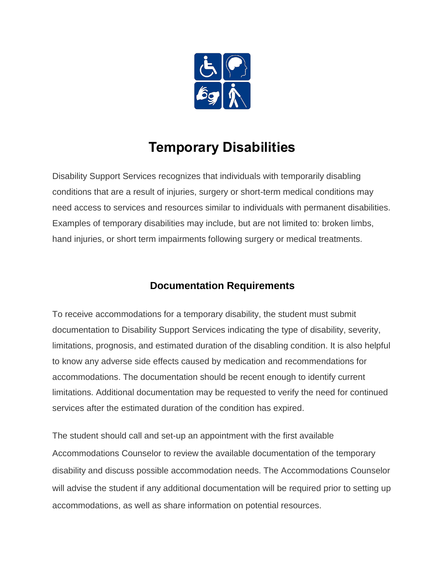

# **Temporary Disabilities**

Disability Support Services recognizes that individuals with temporarily disabling conditions that are a result of injuries, surgery or short-term medical conditions may need access to services and resources similar to individuals with permanent disabilities. Examples of temporary disabilities may include, but are not limited to: broken limbs, hand injuries, or short term impairments following surgery or medical treatments.

## **Documentation Requirements**

To receive accommodations for a temporary disability, the student must submit documentation to Disability Support Services indicating the type of disability, severity, limitations, prognosis, and estimated duration of the disabling condition. It is also helpful to know any adverse side effects caused by medication and recommendations for accommodations. The documentation should be recent enough to identify current limitations. Additional documentation may be requested to verify the need for continued services after the estimated duration of the condition has expired.

The student should call and set-up an appointment with the first available Accommodations Counselor to review the available documentation of the temporary disability and discuss possible accommodation needs. The Accommodations Counselor will advise the student if any additional documentation will be required prior to setting up accommodations, as well as share information on potential resources.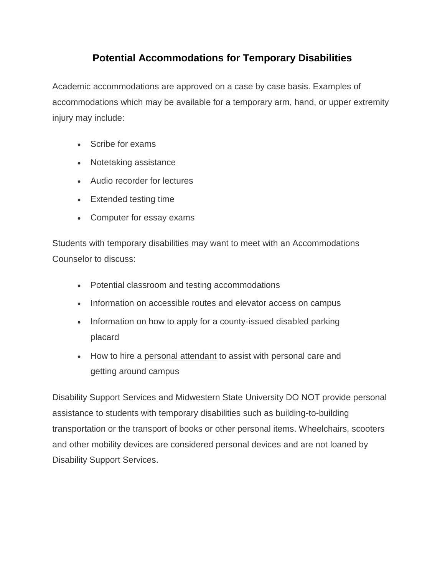## **Potential Accommodations for Temporary Disabilities**

Academic accommodations are approved on a case by case basis. Examples of accommodations which may be available for a temporary arm, hand, or upper extremity injury may include:

- Scribe for exams
- Notetaking assistance
- Audio recorder for lectures
- Extended testing time
- Computer for essay exams

Students with temporary disabilities may want to meet with an Accommodations Counselor to discuss:

- Potential classroom and testing accommodations
- Information on accessible routes and elevator access on campus
- Information on how to apply for a county-issued disabled parking placard
- How to hire a [personal attendant](http://disability.tamu.edu/resources/attendants) to assist with personal care and getting around campus

Disability Support Services and Midwestern State University DO NOT provide personal assistance to students with temporary disabilities such as building-to-building transportation or the transport of books or other personal items. Wheelchairs, scooters and other mobility devices are considered personal devices and are not loaned by Disability Support Services.